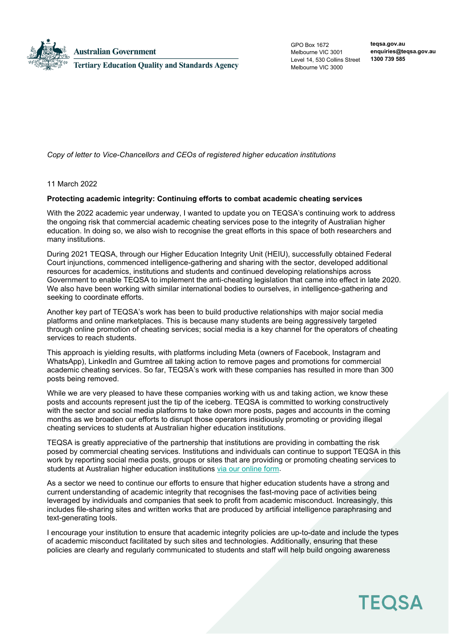

**Australian Government** 

**Tertiary Education Quality and Standards Agency** 

GPO Box 1672 Melbourne VIC 3001 Level 14, 530 Collins Street Melbourne VIC 3000

**teqsa.gov.au enquiries@teqsa.gov.au 1300 739 585**

*Copy of letter to Vice-Chancellors and CEOs of registered higher education institutions*

## 11 March 2022

## **Protecting academic integrity: Continuing efforts to combat academic cheating services**

With the 2022 academic year underway, I wanted to update you on TEQSA's continuing work to address the ongoing risk that commercial academic cheating services pose to the integrity of Australian higher education. In doing so, we also wish to recognise the great efforts in this space of both researchers and many institutions.

During 2021 TEQSA, through our Higher Education Integrity Unit (HEIU), successfully obtained Federal Court injunctions, commenced intelligence-gathering and sharing with the sector, developed additional resources for academics, institutions and students and continued developing relationships across Government to enable TEQSA to implement the anti-cheating legislation that came into effect in late 2020. We also have been working with similar international bodies to ourselves, in intelligence-gathering and seeking to coordinate efforts.

Another key part of TEQSA's work has been to build productive relationships with major social media platforms and online marketplaces. This is because many students are being aggressively targeted through online promotion of cheating services; social media is a key channel for the operators of cheating services to reach students.

This approach is yielding results, with platforms including Meta (owners of Facebook, Instagram and WhatsApp), LinkedIn and Gumtree all taking action to remove pages and promotions for commercial academic cheating services. So far, TEQSA's work with these companies has resulted in more than 300 posts being removed.

While we are very pleased to have these companies working with us and taking action, we know these posts and accounts represent just the tip of the iceberg. TEQSA is committed to working constructively with the sector and social media platforms to take down more posts, pages and accounts in the coming months as we broaden our efforts to disrupt those operators insidiously promoting or providing illegal cheating services to students at Australian higher education institutions.

TEQSA is greatly appreciative of the partnership that institutions are providing in combatting the risk posed by commercial cheating services. Institutions and individuals can continue to support TEQSA in this work by reporting social media posts, groups or sites that are providing or promoting cheating services to students at Australian higher education institutions [via our online form.](https://www.teqsa.gov.au/reporting-suspected-academic-cheating-service-form)

As a sector we need to continue our efforts to ensure that higher education students have a strong and current understanding of academic integrity that recognises the fast-moving pace of activities being leveraged by individuals and companies that seek to profit from academic misconduct. Increasingly, this includes file-sharing sites and written works that are produced by artificial intelligence paraphrasing and text-generating tools.

I encourage your institution to ensure that academic integrity policies are up-to-date and include the types of academic misconduct facilitated by such sites and technologies. Additionally, ensuring that these policies are clearly and regularly communicated to students and staff will help build ongoing awareness

## **TEQSA**